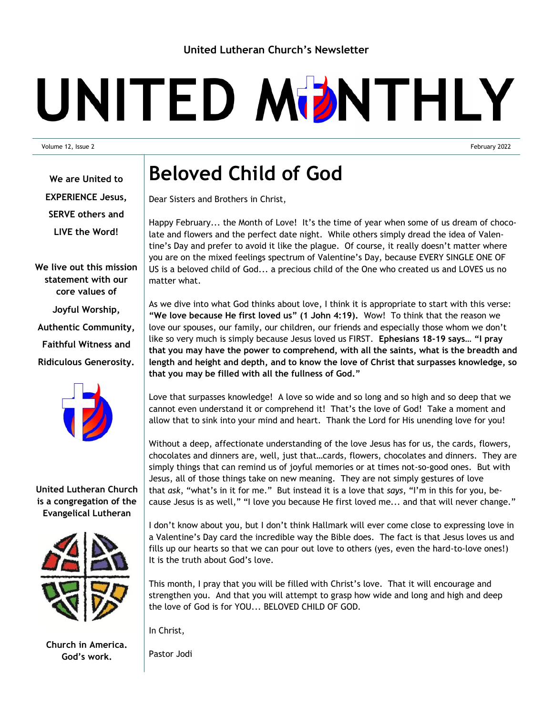# UNITED MDNTHLY

Volume 12, Issue 2 February 2022

**We are United to EXPERIENCE Jesus, SERVE others and LIVE the Word!**

**We live out this mission statement with our core values of Joyful Worship, Authentic Community, Faithful Witness and Ridiculous Generosity.**



### **United Lutheran Church is a congregation of the Evangelical Lutheran**



**Church in America. God's work.**

### **Beloved Child of God**

Dear Sisters and Brothers in Christ,

Happy February... the Month of Love! It's the time of year when some of us dream of chocolate and flowers and the perfect date night. While others simply dread the idea of Valentine's Day and prefer to avoid it like the plague. Of course, it really doesn't matter where you are on the mixed feelings spectrum of Valentine's Day, because EVERY SINGLE ONE OF US is a beloved child of God... a precious child of the One who created us and LOVES us no matter what.

As we dive into what God thinks about love, I think it is appropriate to start with this verse: **"We love because He first loved us" (1 John 4:19).** Wow! To think that the reason we love our spouses, our family, our children, our friends and especially those whom we don't like so very much is simply because Jesus loved us FIRST. **Ephesians 18-19 says… "I pray that you may have the power to comprehend, with all the saints, what is the breadth and length and height and depth, and to know the love of Christ that surpasses knowledge, so that you may be filled with all the fullness of God."**

Love that surpasses knowledge! A love so wide and so long and so high and so deep that we cannot even understand it or comprehend it! That's the love of God! Take a moment and allow that to sink into your mind and heart. Thank the Lord for His unending love for you!

Without a deep, affectionate understanding of the love Jesus has for us, the cards, flowers, chocolates and dinners are, well, just that…cards, flowers, chocolates and dinners. They are simply things that can remind us of joyful memories or at times not-so-good ones. But with Jesus, all of those things take on new meaning. They are not simply gestures of love that *ask*, "what's in it for me." But instead it is a love that *says*, "I'm in this for you, because Jesus is as well," "I love you because He first loved me... and that will never change."

I don't know about you, but I don't think Hallmark will ever come close to expressing love in a Valentine's Day card the incredible way the Bible does. The fact is that Jesus loves us and fills up our hearts so that we can pour out love to others (yes, even the hard-to-love ones!) It is the truth about God's love.

This month, I pray that you will be filled with Christ's love. That it will encourage and strengthen you. And that you will attempt to grasp how wide and long and high and deep the love of God is for YOU... BELOVED CHILD OF GOD.

In Christ,

Pastor Jodi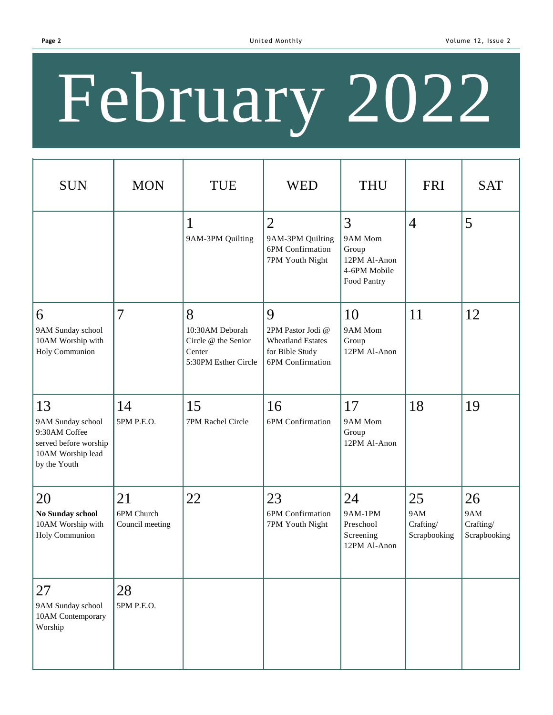# February 2022

| <b>SUN</b>                                                                                             | <b>MON</b>                          | <b>TUE</b>                                                                    | <b>WED</b>                                                                                | <b>THU</b>                                                           | <b>FRI</b>                             | <b>SAT</b>                             |
|--------------------------------------------------------------------------------------------------------|-------------------------------------|-------------------------------------------------------------------------------|-------------------------------------------------------------------------------------------|----------------------------------------------------------------------|----------------------------------------|----------------------------------------|
|                                                                                                        |                                     | $\mathbf{1}$<br>9AM-3PM Quilting                                              | $\overline{2}$<br>9AM-3PM Quilting<br>6PM Confirmation<br>7PM Youth Night                 | 3<br>9AM Mom<br>Group<br>12PM Al-Anon<br>4-6PM Mobile<br>Food Pantry | $\overline{4}$                         | 5                                      |
| 6<br>9AM Sunday school<br>10AM Worship with<br>Holy Communion                                          | $\overline{7}$                      | 8<br>10:30AM Deborah<br>Circle @ the Senior<br>Center<br>5:30PM Esther Circle | 9<br>2PM Pastor Jodi @<br><b>Wheatland Estates</b><br>for Bible Study<br>6PM Confirmation | 10<br>9AM Mom<br>Group<br>12PM Al-Anon                               | 11                                     | 12                                     |
| 13<br>9AM Sunday school<br>9:30AM Coffee<br>served before worship<br>10AM Worship lead<br>by the Youth | 14<br>5PM P.E.O.                    | 15<br>7PM Rachel Circle                                                       | 16<br>6PM Confirmation                                                                    | 17<br>9AM Mom<br>Group<br>12PM Al-Anon                               | 18                                     | 19                                     |
| 20<br>No Sunday school<br>10AM Worship with<br>Holy Communion                                          | 21<br>6PM Church<br>Council meeting | 22                                                                            | 23<br>6PM Confirmation<br>7PM Youth Night                                                 | 24<br><b>9AM-1PM</b><br>Preschool<br>Screening<br>12PM Al-Anon       | 25<br>9AM<br>Crafting/<br>Scrapbooking | 26<br>9AM<br>Crafting/<br>Scrapbooking |
| 27<br>9AM Sunday school<br>10AM Contemporary<br>Worship                                                | 28<br>5PM P.E.O.                    |                                                                               |                                                                                           |                                                                      |                                        |                                        |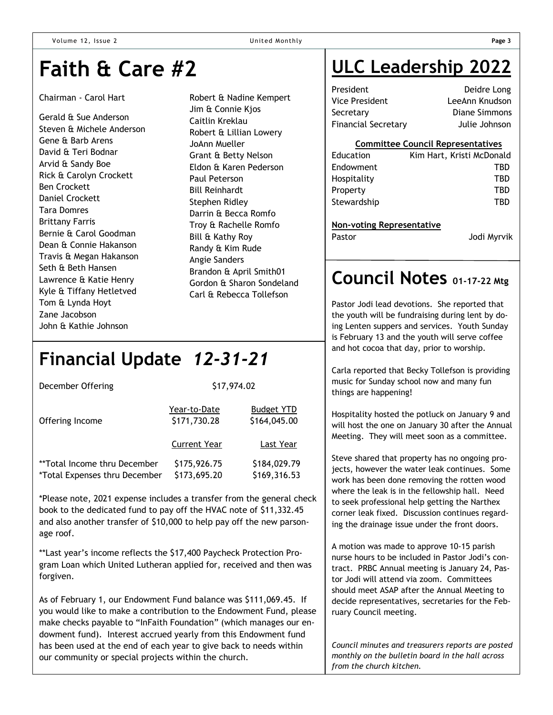### **Faith & Care #2**

#### Chairman - Carol Hart

Gerald & Sue Anderson Steven & Michele Anderson Gene & Barb Arens David & Teri Bodnar Arvid & Sandy Boe Rick & Carolyn Crockett Ben Crockett Daniel Crockett Tara Domres Brittany Farris Bernie & Carol Goodman Dean & Connie Hakanson Travis & Megan Hakanson Seth & Beth Hansen Lawrence & Katie Henry Kyle & Tiffany Hetletved Tom & Lynda Hoyt Zane Jacobson John & Kathie Johnson

Robert & Nadine Kempert Jim & Connie Kjos Caitlin Kreklau Robert & Lillian Lowery JoAnn Mueller Grant & Betty Nelson Eldon & Karen Pederson Paul Peterson Bill Reinhardt Stephen Ridley Darrin & Becca Romfo Troy & Rachelle Romfo Bill & Kathy Roy Randy & Kim Rude Angie Sanders Brandon & April Smith01 Gordon & Sharon Sondeland Carl & Rebecca Tollefson

### **Financial Update** *12-31-21*

| December Offering                                             | \$17,974.02                  |                                   |  |  |
|---------------------------------------------------------------|------------------------------|-----------------------------------|--|--|
| Offering Income                                               | Year-to-Date<br>\$171,730.28 | <b>Budget YTD</b><br>\$164,045.00 |  |  |
|                                                               | <b>Current Year</b>          | Last Year                         |  |  |
| **Total Income thru December<br>*Total Expenses thru December | \$175,926.75<br>\$173,695.20 | \$184,029.79<br>\$169,316.53      |  |  |

\*Please note, 2021 expense includes a transfer from the general check book to the dedicated fund to pay off the HVAC note of \$11,332.45 and also another transfer of \$10,000 to help pay off the new parsonage roof.

\*\*Last year's income reflects the \$17,400 Paycheck Protection Program Loan which United Lutheran applied for, received and then was forgiven.

As of February 1, our Endowment Fund balance was \$111,069.45. If you would like to make a contribution to the Endowment Fund, please make checks payable to "InFaith Foundation" (which manages our endowment fund). Interest accrued yearly from this Endowment fund has been used at the end of each year to give back to needs within our community or special projects within the church.

### **ULC Leadership 2022**

| Deidre Long    |
|----------------|
| LeeAnn Knudson |
| Diane Simmons  |
| Julie Johnson  |
|                |

#### **Committee Council Representatives**

| Education                        | Kim Hart, Kristi McDonald |
|----------------------------------|---------------------------|
| Endowment                        | TBD                       |
| Hospitality                      | TBD                       |
| Property                         | TBD                       |
| Stewardship                      | TBD                       |
|                                  |                           |
| <b>Non-voting Representative</b> |                           |
| Pastor                           | Jodi Myrvik               |

### **Council Notes 01-17-22 Mtg**

Pastor Jodi lead devotions. She reported that the youth will be fundraising during lent by doing Lenten suppers and services. Youth Sunday is February 13 and the youth will serve coffee and hot cocoa that day, prior to worship.

Carla reported that Becky Tollefson is providing music for Sunday school now and many fun things are happening!

Hospitality hosted the potluck on January 9 and will host the one on January 30 after the Annual Meeting. They will meet soon as a committee.

Steve shared that property has no ongoing projects, however the water leak continues. Some work has been done removing the rotten wood where the leak is in the fellowship hall. Need to seek professional help getting the Narthex corner leak fixed. Discussion continues regarding the drainage issue under the front doors.

A motion was made to approve 10-15 parish nurse hours to be included in Pastor Jodi's contract. PRBC Annual meeting is January 24, Pastor Jodi will attend via zoom. Committees should meet ASAP after the Annual Meeting to decide representatives, secretaries for the February Council meeting.

*Council minutes and treasurers reports are posted monthly on the bulletin board in the hall across from the church kitchen.*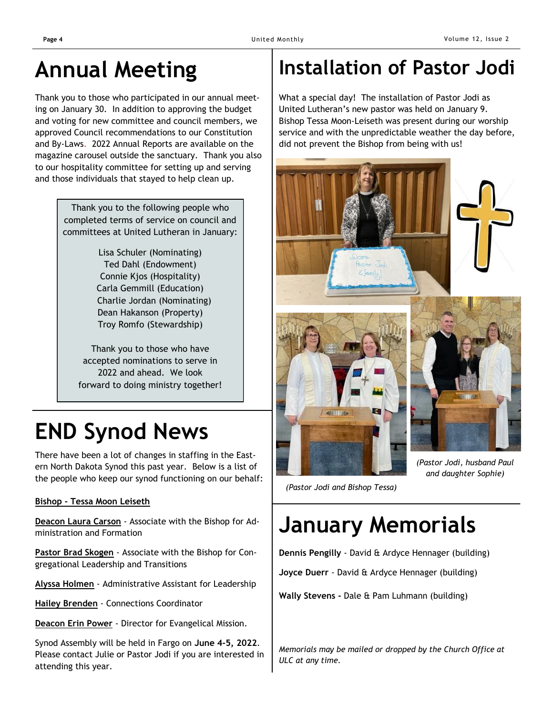### **Annual Meeting**

Thank you to those who participated in our annual meeting on January 30. In addition to approving the budget and voting for new committee and council members, we approved Council recommendations to our Constitution and By-Laws. 2022 Annual Reports are available on the magazine carousel outside the sanctuary. Thank you also to our hospitality committee for setting up and serving and those individuals that stayed to help clean up.

> Thank you to the following people who completed terms of service on council and committees at United Lutheran in January:

> > Lisa Schuler (Nominating) Ted Dahl (Endowment) Connie Kjos (Hospitality) Carla Gemmill (Education) Charlie Jordan (Nominating) Dean Hakanson (Property) Troy Romfo (Stewardship)

Thank you to those who have accepted nominations to serve in 2022 and ahead. We look forward to doing ministry together!

# **END Synod News**

There have been a lot of changes in staffing in the Eastern North Dakota Synod this past year. Below is a list of the people who keep our synod functioning on our behalf:

### **Bishop - [Tessa Moon Leiseth](mailto:bishoptessa@eandsynod.org)**

**[Deacon Laura Carson](mailto:deaconlaura@eandsynod.org)** - Associate with the Bishop for Administration and Formation

**[Pastor Brad Skogen](mailto:pastorbrad@eandsynod.org)** - Associate with the Bishop for Congregational Leadership and Transitions

**[Alyssa Holmen](mailto:alyssa@eandsynod.org)** - Administrative Assistant for Leadership

**[Hailey Brenden](mailto:hailey@eandsynod.org)** - Connections Coordinator

**Deacon Erin Power** - Director for Evangelical Mission.

Synod Assembly will be held in Fargo on **June 4-5, 2022**. Please contact Julie or Pastor Jodi if you are interested in attending this year.

### **Installation of Pastor Jodi**

What a special day! The installation of Pastor Jodi as United Lutheran's new pastor was held on January 9. Bishop Tessa Moon-Leiseth was present during our worship service and with the unpredictable weather the day before, did not prevent the Bishop from being with us!



*(Pastor Jodi, husband Paul and daughter Sophie)*

*(Pastor Jodi and Bishop Tessa)*

# **January Memorials**

**Dennis Pengilly** - David & Ardyce Hennager (building)

**Joyce Duerr** - David & Ardyce Hennager (building)

**Wally Stevens -** Dale & Pam Luhmann (building)

*Memorials may be mailed or dropped by the Church Office at ULC at any time.*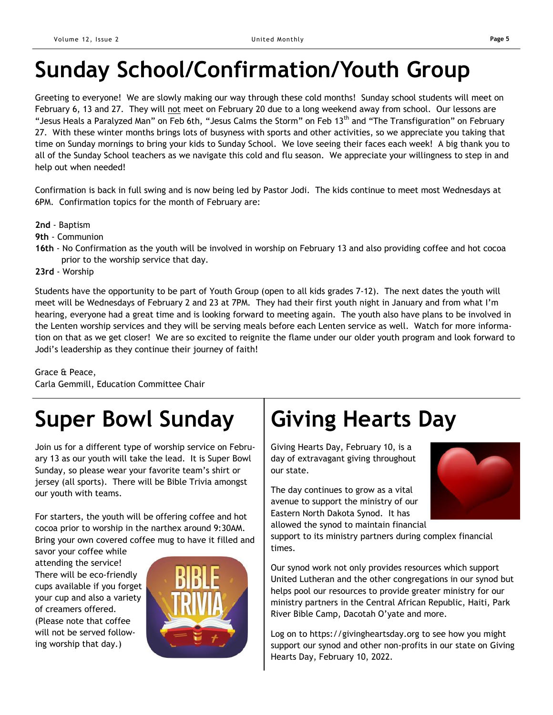# **Sunday School/Confirmation/Youth Group**

Greeting to everyone! We are slowly making our way through these cold months! Sunday school students will meet on February 6, 13 and 27. They will not meet on February 20 due to a long weekend away from school. Our lessons are "Jesus Heals a Paralyzed Man" on Feb 6th, "Jesus Calms the Storm" on Feb 13<sup>th</sup> and "The Transfiguration" on February 27. With these winter months brings lots of busyness with sports and other activities, so we appreciate you taking that time on Sunday mornings to bring your kids to Sunday School. We love seeing their faces each week! A big thank you to all of the Sunday School teachers as we navigate this cold and flu season. We appreciate your willingness to step in and help out when needed!

Confirmation is back in full swing and is now being led by Pastor Jodi. The kids continue to meet most Wednesdays at 6PM. Confirmation topics for the month of February are:

- **2nd** Baptism
- **9th** Communion
- **16th** No Confirmation as the youth will be involved in worship on February 13 and also providing coffee and hot cocoa prior to the worship service that day.
- **23rd** Worship

Students have the opportunity to be part of Youth Group (open to all kids grades 7-12). The next dates the youth will meet will be Wednesdays of February 2 and 23 at 7PM. They had their first youth night in January and from what I'm hearing, everyone had a great time and is looking forward to meeting again. The youth also have plans to be involved in the Lenten worship services and they will be serving meals before each Lenten service as well. Watch for more information on that as we get closer! We are so excited to reignite the flame under our older youth program and look forward to Jodi's leadership as they continue their journey of faith!

Grace & Peace, Carla Gemmill, Education Committee Chair

# **Super Bowl Sunday | Giving Hearts Day**

Join us for a different type of worship service on February 13 as our youth will take the lead. It is Super Bowl Sunday, so please wear your favorite team's shirt or jersey (all sports). There will be Bible Trivia amongst our youth with teams.

For starters, the youth will be offering coffee and hot cocoa prior to worship in the narthex around 9:30AM. Bring your own covered coffee mug to have it filled and

savor your coffee while attending the service! There will be eco-friendly cups available if you forget your cup and also a variety of creamers offered. (Please note that coffee will not be served following worship that day.)



Giving Hearts Day, February 10, is a day of extravagant giving throughout our state.

The day continues to grow as a vital avenue to support the ministry of our Eastern North Dakota Synod. It has allowed the synod to maintain financial



support to its ministry partners during complex financial times.

Our synod work not only provides resources which support United Lutheran and the other congregations in our synod but helps pool our resources to provide greater ministry for our ministry partners in the Central African Republic, Haiti, Park River Bible Camp, Dacotah O'yate and more.

Log on to https://givingheartsday.org to see how you might support our synod and other non-profits in our state on Giving Hearts Day, February 10, 2022.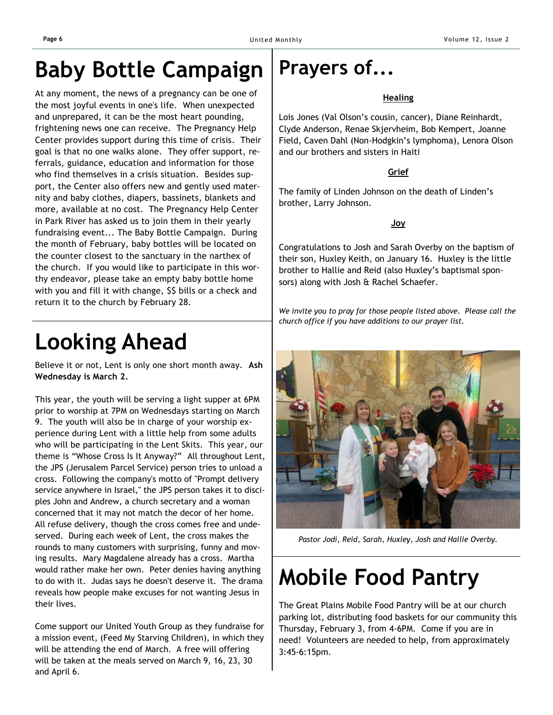### **Baby Bottle Campaign**

At any moment, the news of a pregnancy can be one of the most joyful events in one's life. When unexpected and unprepared, it can be the most heart pounding, frightening news one can receive. The Pregnancy Help Center provides support during this time of crisis. Their goal is that no one walks alone. They offer support, referrals, guidance, education and information for those who find themselves in a crisis situation. Besides support, the Center also offers new and gently used maternity and baby clothes, diapers, bassinets, blankets and more, available at no cost. The Pregnancy Help Center in Park River has asked us to join them in their yearly fundraising event... The Baby Bottle Campaign. During the month of February, baby bottles will be located on the counter closest to the sanctuary in the narthex of the church. If you would like to participate in this worthy endeavor, please take an empty baby bottle home with you and fill it with change, \$\$ bills or a check and return it to the church by February 28.

# **Looking Ahead**

Believe it or not, Lent is only one short month away. **Ash Wednesday is March 2.**

This year, the youth will be serving a light supper at 6PM prior to worship at 7PM on Wednesdays starting on March 9. The youth will also be in charge of your worship experience during Lent with a little help from some adults who will be participating in the Lent Skits. This year, our theme is "Whose Cross Is It Anyway?" All throughout Lent, the JPS (Jerusalem Parcel Service) person tries to unload a cross. Following the company's motto of "Prompt delivery service anywhere in Israel," the JPS person takes it to disciples John and Andrew, a church secretary and a woman concerned that it may not match the decor of her home. All refuse delivery, though the cross comes free and undeserved. During each week of Lent, the cross makes the rounds to many customers with surprising, funny and moving results. Mary Magdalene already has a cross. Martha would rather make her own. Peter denies having anything to do with it. Judas says he doesn't deserve it. The drama reveals how people make excuses for not wanting Jesus in their lives.

Come support our United Youth Group as they fundraise for a mission event, (Feed My Starving Children), in which they will be attending the end of March. A free will offering will be taken at the meals served on March 9, 16, 23, 30 and April 6.

### **Prayers of...**

### **Healing**

Lois Jones (Val Olson's cousin, cancer), Diane Reinhardt, Clyde Anderson, Renae Skjervheim, Bob Kempert, Joanne Field, Caven Dahl (Non-Hodgkin's lymphoma), Lenora Olson and our brothers and sisters in Haiti

### **Grief**

The family of Linden Johnson on the death of Linden's brother, Larry Johnson.

### **Joy**

Congratulations to Josh and Sarah Overby on the baptism of their son, Huxley Keith, on January 16. Huxley is the little brother to Hallie and Reid (also Huxley's baptismal sponsors) along with Josh & Rachel Schaefer.

*We invite you to pray for those people listed above. Please call the church office if you have additions to our prayer list.*



*Pastor Jodi, Reid, Sarah, Huxley, Josh and Hallie Overby.*

# **Mobile Food Pantry**

The Great Plains Mobile Food Pantry will be at our church parking lot, distributing food baskets for our community this Thursday, February 3, from 4-6PM. Come if you are in need! Volunteers are needed to help, from approximately 3:45-6:15pm.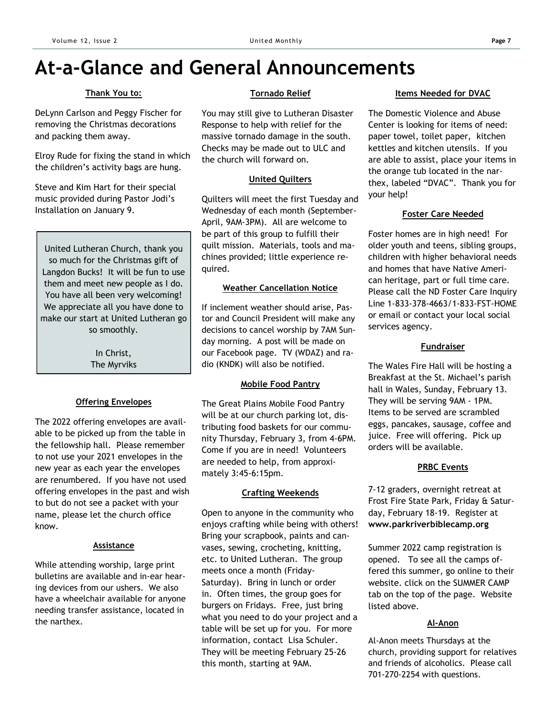### **At-a-Glance and General Announcements**

### **Thank You to:**

DeLynn Carlson and Peggy Fischer for removing the Christmas decorations and packing them away.

Elroy Rude for fixing the stand in which the children's activity bags are hung.

Steve and Kim Hart for their special music provided during Pastor Jodi's Installation on January 9.

United Lutheran Church, thank you so much for the Christmas gift of Langdon Bucks! It will be fun to use them and meet new people as I do. You have all been very welcoming! We appreciate all you have done to make our start at United Lutheran go so smoothly.

> In Christ, The Myrviks

### **Offering Envelopes**

The 2022 offering envelopes are available to be picked up from the table in the fellowship hall. Please remember to not use your 2021 envelopes in the new year as each year the envelopes are renumbered. If you have not used offering envelopes in the past and wish to but do not see a packet with your name, please let the church office know.

#### **Assistance**

While attending worship, large print bulletins are available and in-ear hearing devices from our ushers. We also have a wheelchair available for anyone needing transfer assistance, located in the narthex.

#### **Tornado Relief**

You may still give to Lutheran Disaster Response to help with relief for the massive tornado damage in the south. Checks may be made out to ULC and the church will forward on.

### **United Quilters**

Quilters will meet the first Tuesday and Wednesday of each month (September-April, 9AM-3PM). All are welcome to be part of this group to fulfill their quilt mission. Materials, tools and machines provided; little experience required.

### **Weather Cancellation Notice**

If inclement weather should arise, Pastor and Council President will make any decisions to cancel worship by 7AM Sunday morning. A post will be made on our Facebook page. TV (WDAZ) and radio (KNDK) will also be notified.

### **Mobile Food Pantry**

The Great Plains Mobile Food Pantry will be at our church parking lot, distributing food baskets for our community Thursday, February 3, from 4-6PM. Come if you are in need! Volunteers are needed to help, from approximately 3:45-6:15pm.

### **Crafting Weekends**

Open to anyone in the community who enjoys crafting while being with others! Bring your scrapbook, paints and canvases, sewing, crocheting, knitting, etc. to United Lutheran. The group meets once a month (Friday-Saturday). Bring in lunch or order in. Often times, the group goes for burgers on Fridays. Free, just bring what you need to do your project and a table will be set up for you. For more information, contact Lisa Schuler. They will be meeting February 25-26 this month, starting at 9AM.

### **Items Needed for DVAC**

The Domestic Violence and Abuse Center is looking for items of need: paper towel, toilet paper, kitchen kettles and kitchen utensils. If you are able to assist, place your items in the orange tub located in the narthex, labeled "DVAC". Thank you for your help!

### **Foster Care Needed**

Foster homes are in high need! For older youth and teens, sibling groups, children with higher behavioral needs and homes that have Native American heritage, part or full time care. Please call the ND Foster Care Inquiry Line 1-833-378-4663/1-833-FST-HOME or email or contact your local social services agency.

### **Fundraiser**

The Wales Fire Hall will be hosting a Breakfast at the St. Michael's parish hall in Wales, Sunday, February 13. They will be serving 9AM - 1PM. Items to be served are scrambled eggs, pancakes, sausage, coffee and juice. Free will offering. Pick up orders will be available.

### **PRBC Events**

7-12 graders, overnight retreat at Frost Fire State Park, Friday & Saturday, February 18-19. Register at **www.parkriverbiblecamp.org**

Summer 2022 camp registration is opened. To see all the camps offered this summer, go online to their website. click on the SUMMER CAMP tab on the top of the page. Website listed above.

### **Al-Anon**

Al-Anon meets Thursdays at the church, providing support for relatives and friends of alcoholics. Please call 701-270-2254 with questions.